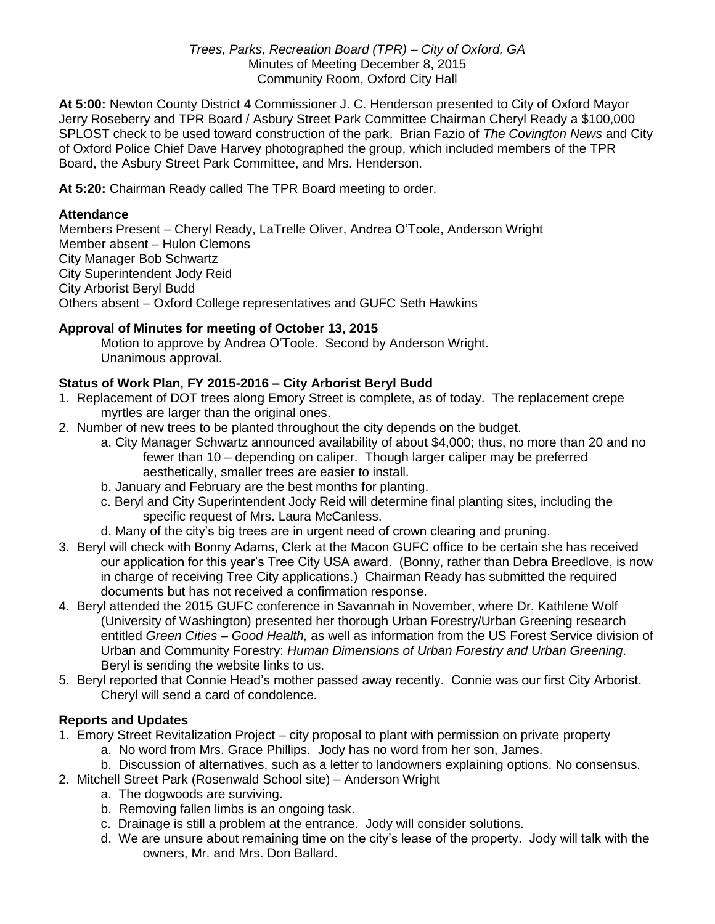#### *Trees, Parks, Recreation Board (TPR) – City of Oxford, GA* Minutes of Meeting December 8, 2015 Community Room, Oxford City Hall

**At 5:00:** Newton County District 4 Commissioner J. C. Henderson presented to City of Oxford Mayor Jerry Roseberry and TPR Board / Asbury Street Park Committee Chairman Cheryl Ready a \$100,000 SPLOST check to be used toward construction of the park. Brian Fazio of *The Covington News* and City of Oxford Police Chief Dave Harvey photographed the group, which included members of the TPR Board, the Asbury Street Park Committee, and Mrs. Henderson.

**At 5:20:** Chairman Ready called The TPR Board meeting to order.

## **Attendance**

Members Present – Cheryl Ready, LaTrelle Oliver, Andrea O'Toole, Anderson Wright Member absent – Hulon Clemons City Manager Bob Schwartz City Superintendent Jody Reid City Arborist Beryl Budd Others absent – Oxford College representatives and GUFC Seth Hawkins

# **Approval of Minutes for meeting of October 13, 2015**

Motion to approve by Andrea O'Toole. Second by Anderson Wright. Unanimous approval.

### **Status of Work Plan, FY 2015-2016 – City Arborist Beryl Budd**

- 1. Replacement of DOT trees along Emory Street is complete, as of today. The replacement crepe myrtles are larger than the original ones.
- 2. Number of new trees to be planted throughout the city depends on the budget.
	- a. City Manager Schwartz announced availability of about \$4,000; thus, no more than 20 and no fewer than 10 – depending on caliper. Though larger caliper may be preferred aesthetically, smaller trees are easier to install.
	- b. January and February are the best months for planting.
	- c. Beryl and City Superintendent Jody Reid will determine final planting sites, including the specific request of Mrs. Laura McCanless.
	- d. Many of the city's big trees are in urgent need of crown clearing and pruning.
- 3. Beryl will check with Bonny Adams, Clerk at the Macon GUFC office to be certain she has received our application for this year's Tree City USA award. (Bonny, rather than Debra Breedlove, is now in charge of receiving Tree City applications.) Chairman Ready has submitted the required documents but has not received a confirmation response.
- 4. Beryl attended the 2015 GUFC conference in Savannah in November, where Dr. Kathlene Wolf (University of Washington) presented her thorough Urban Forestry/Urban Greening research entitled *Green Cities – Good Health,* as well as information from the US Forest Service division of Urban and Community Forestry: *Human Dimensions of Urban Forestry and Urban Greening*. Beryl is sending the website links to us.
- 5. Beryl reported that Connie Head's mother passed away recently. Connie was our first City Arborist. Cheryl will send a card of condolence.

# **Reports and Updates**

- 1. Emory Street Revitalization Project city proposal to plant with permission on private property
	- a. No word from Mrs. Grace Phillips. Jody has no word from her son, James.
	- b. Discussion of alternatives, such as a letter to landowners explaining options. No consensus.
- 2. Mitchell Street Park (Rosenwald School site) Anderson Wright
	- a. The dogwoods are surviving.
	- b. Removing fallen limbs is an ongoing task.
	- c. Drainage is still a problem at the entrance. Jody will consider solutions.
	- d. We are unsure about remaining time on the city's lease of the property. Jody will talk with the owners, Mr. and Mrs. Don Ballard.